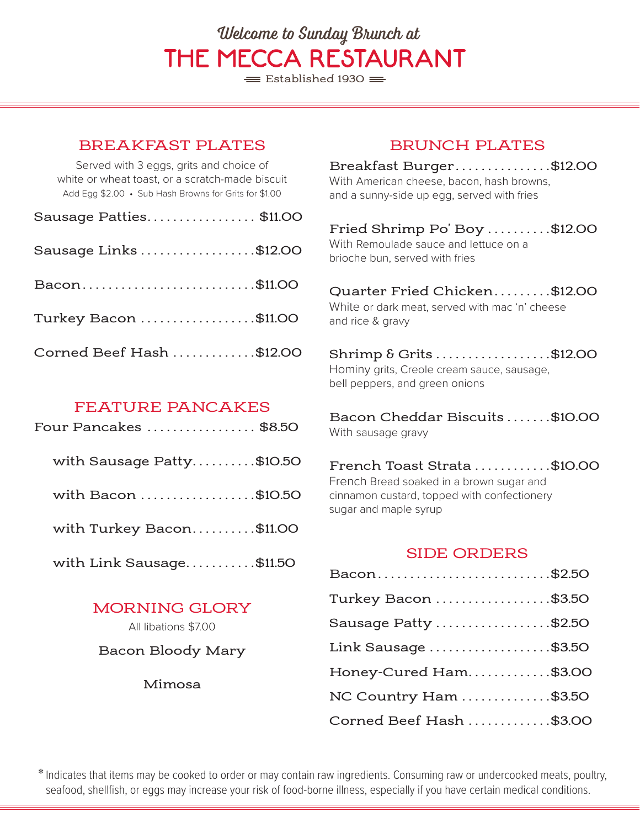# Welcome to Sunday Brunch at THE MECCA RESTAURANT

 $\equiv$  Established 1930  $\equiv$ 

### BREAKFAST PLATES

Served with 3 eggs, grits and choice of white or wheat toast, or a scratch-made biscuit Add Egg \$2.00 • Sub Hash Browns for Grits for \$1.00

| Sausage Patties\$11.00   |  |
|--------------------------|--|
| Sausage Links \$12.00    |  |
| Bacon\$11.00             |  |
| Turkey Bacon \$11.00     |  |
| Corned Beef Hash \$12.00 |  |

## FEATURE PANCAKES

| Four Pancakes  \$8.50     |
|---------------------------|
| with Sausage Patty\$10.50 |
| with Bacon \$10.50        |
| with Turkey Bacon\$11.00  |
| with Link Sausage\$11.50  |

# MORNING GLORY

All libations \$7.00

#### Bacon Bloody Mary

Mimosa

# BRUNCH PLATES

Breakfast Burger . . . . . . . . . . . . . . \$12.00 With American cheese, bacon, hash browns, and a sunny-side up egg, served with fries

Fried Shrimp Po' Boy ..........\$12.00 With Remoulade sauce and lettuce on a brioche bun, served with fries

Ouarter Fried Chicken.........\$12.00 White or dark meat, served with mac 'n' cheese and rice & gravy

Shrimp & Grits . . . . . . . . . . . . . . . . . \$12.00 Hominy grits, Creole cream sauce, sausage, bell peppers, and green onions

Bacon Cheddar Biscuits . . . . . . \$10.00 With sausage gravy

French Toast Strata . . . . . . . . . . . \$10.00 French Bread soaked in a brown sugar and cinnamon custard, topped with confectionery sugar and maple syrup

#### SIDE ORDERS

| Bacon\$2.50             |  |
|-------------------------|--|
| Turkey Bacon \$3.50     |  |
| Sausage Patty \$2.50    |  |
| Link Sausage \$3.50     |  |
| Honey-Cured Ham\$3.00   |  |
| NC Country Ham \$3.50   |  |
| Corned Beef Hash \$3.00 |  |

\* Indicates that items may be cooked to order or may contain raw ingredients. Consuming raw or undercooked meats, poultry, seafood, shellfish, or eggs may increase your risk of food-borne illness, especially if you have certain medical conditions.